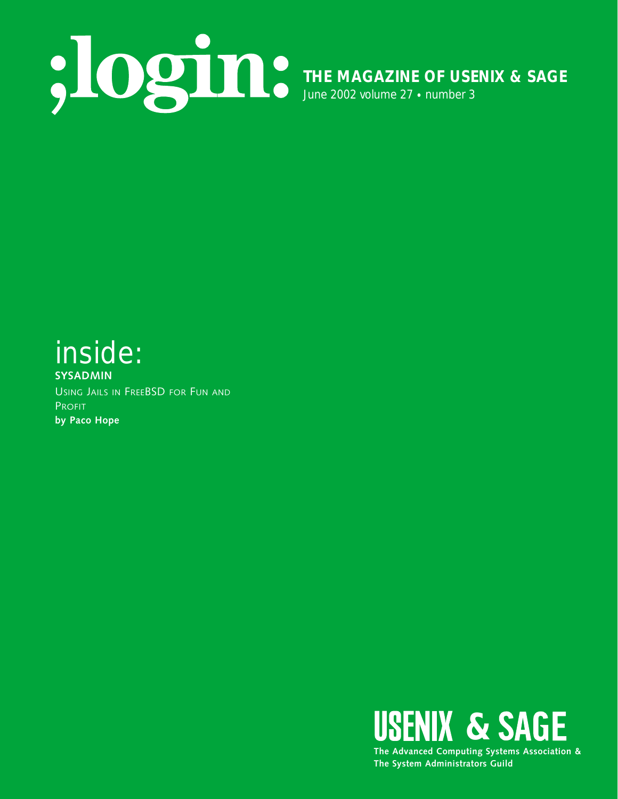

# inside: **SYSADMIN**

USING JAILS IN FREEBSD FOR FUN AND PROFIT **by Paco Hope**

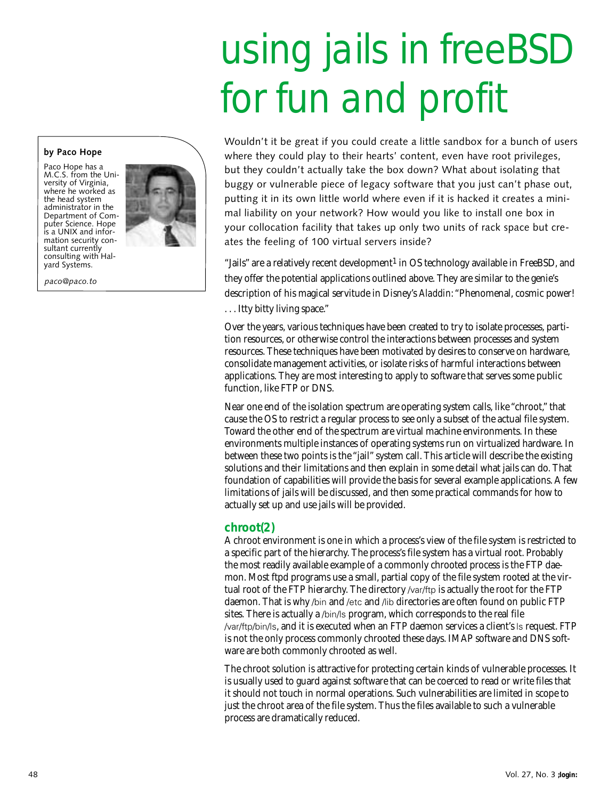# using jails in freeBSD for fun and profit

**by Paco Hope**

Paco Hope has a M.C.S. from the University of Virginia, where he worked as the head system administrator in the Department of Computer Science. Hope is a UNIX and information security consultant currently consulting with Halyard Systems.

*paco@paco.to*



Wouldn't it be great if you could create a little sandbox for a bunch of users where they could play to their hearts' content, even have root privileges, but they couldn't actually take the box down? What about isolating that buggy or vulnerable piece of legacy software that you just can't phase out, putting it in its own little world where even if it is hacked it creates a minimal liability on your network? How would you like to install one box in your collocation facility that takes up only two units of rack space but creates the feeling of 100 virtual servers inside?

"Jails" are a relatively recent development<sup>1</sup> in OS technology available in FreeBSD, and they offer the potential applications outlined above. They are similar to the genie's description of his magical servitude in Disney's *Aladdin*: "Phenomenal, cosmic power! . . . Itty bitty living space."

Over the years, various techniques have been created to try to isolate processes, partition resources, or otherwise control the interactions between processes and system resources. These techniques have been motivated by desires to conserve on hardware, consolidate management activities, or isolate risks of harmful interactions between applications. They are most interesting to apply to software that serves some public function, like FTP or DNS.

Near one end of the isolation spectrum are operating system calls, like "chroot," that cause the OS to restrict a regular process to see only a subset of the actual file system. Toward the other end of the spectrum are virtual machine environments. In these environments multiple instances of operating systems run on virtualized hardware. In between these two points is the "jail" system call. This article will describe the existing solutions and their limitations and then explain in some detail what jails can do. That foundation of capabilities will provide the basis for several example applications. A few limitations of jails will be discussed, and then some practical commands for how to actually set up and use jails will be provided.

## **chroot(2)**

A chroot environment is one in which a process's view of the file system is restricted to a specific part of the hierarchy. The process's file system has a virtual root. Probably the most readily available example of a commonly chrooted process is the FTP daemon. Most ftpd programs use a small, partial copy of the file system rooted at the virtual root of the FTP hierarchy. The directory /var/ftp is actually the root for the FTP daemon. That is why /bin and /etc and /lib directories are often found on public FTP sites. There is actually a /bin/ls program, which corresponds to the real file /var/ftp/bin/ls, and it is executed when an FTP daemon services a client's ls request. FTP is not the only process commonly chrooted these days. IMAP software and DNS software are both commonly chrooted as well.

The chroot solution is attractive for protecting certain kinds of vulnerable processes. It is usually used to guard against software that can be coerced to read or write files that it should not touch in normal operations. Such vulnerabilities are limited in scope to just the chroot area of the file system. Thus the files available to such a vulnerable process are dramatically reduced.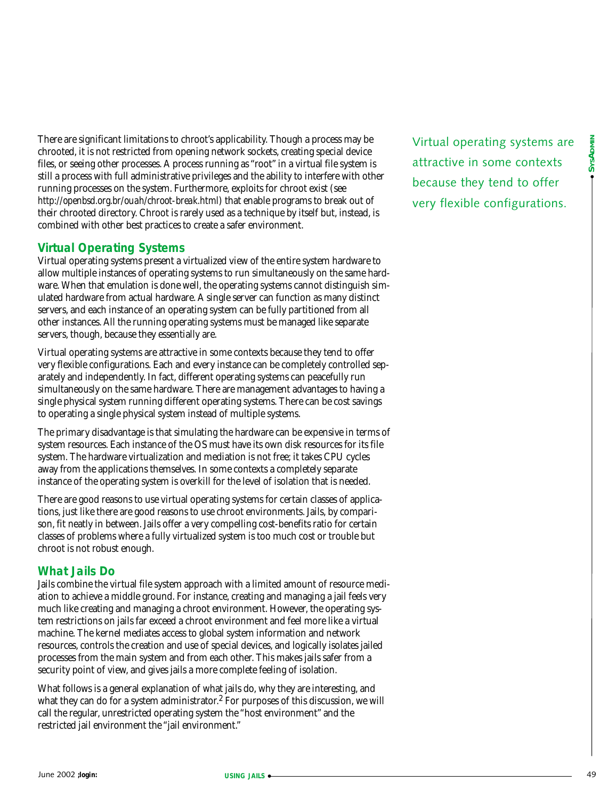There are significant limitations to chroot's applicability. Though a process may be chrooted, it is not restricted from opening network sockets, creating special device files, or seeing other processes. A process running as "root" in a virtual file system is still a process with full administrative privileges and the ability to interfere with other running processes on the system. Furthermore, exploits for chroot exist (see *<http://openbsd.org.br/ouah/chroot-break.html>*) that enable programs to break out of their chrooted directory. Chroot is rarely used as a technique by itself but, instead, is combined with other best practices to create a safer environment.

# **Virtual Operating Systems**

Virtual operating systems present a virtualized view of the entire system hardware to allow multiple instances of operating systems to run simultaneously on the same hardware. When that emulation is done well, the operating systems cannot distinguish simulated hardware from actual hardware. A single server can function as many distinct servers, and each instance of an operating system can be fully partitioned from all other instances. All the running operating systems must be managed like separate servers, though, because they essentially are.

Virtual operating systems are attractive in some contexts because they tend to offer very flexible configurations. Each and every instance can be completely controlled separately and independently. In fact, different operating systems can peacefully run simultaneously on the same hardware. There are management advantages to having a single physical system running different operating systems. There can be cost savings to operating a single physical system instead of multiple systems.

The primary disadvantage is that simulating the hardware can be expensive in terms of system resources. Each instance of the OS must have its own disk resources for its file system. The hardware virtualization and mediation is not free; it takes CPU cycles away from the applications themselves. In some contexts a completely separate instance of the operating system is overkill for the level of isolation that is needed.

There are good reasons to use virtual operating systems for certain classes of applications, just like there are good reasons to use chroot environments. Jails, by comparison, fit neatly in between. Jails offer a very compelling cost-benefits ratio for certain classes of problems where a fully virtualized system is too much cost or trouble but chroot is not robust enough.

# **What Jails Do**

Jails combine the virtual file system approach with a limited amount of resource mediation to achieve a middle ground. For instance, creating and managing a jail feels very much like creating and managing a chroot environment. However, the operating system restrictions on jails far exceed a chroot environment and feel more like a virtual machine. The kernel mediates access to global system information and network resources, controls the creation and use of special devices, and logically isolates jailed processes from the main system and from each other. This makes jails safer from a security point of view, and gives jails a more complete feeling of isolation.

What follows is a general explanation of what jails do, why they are interesting, and what they can do for a system administrator.<sup>2</sup> For purposes of this discussion, we will call the regular, unrestricted operating system the "host environment" and the restricted jail environment the "jail environment."

Virtual operating systems are attractive in some contexts because they tend to offer very flexible configurations.

● **SYSADMIN**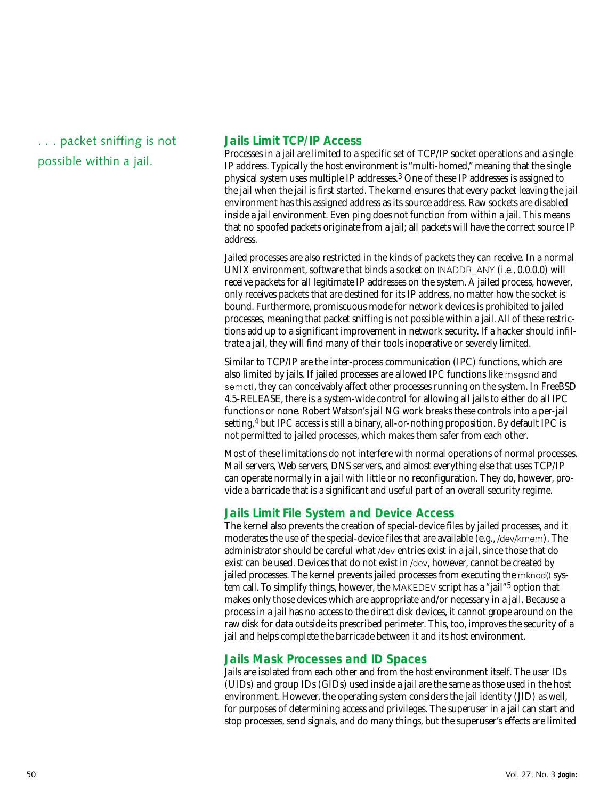. . . packet sniffing is not possible within a jail.

## **Jails Limit TCP/IP Access**

Processes in a jail are limited to a specific set of TCP/IP socket operations and a single IP address. Typically the host environment is "multi-homed," meaning that the single physical system uses multiple IP addresses.3 One of these IP addresses is assigned to the jail when the jail is first started. The kernel ensures that every packet leaving the jail environment has this assigned address as its source address. Raw sockets are disabled inside a jail environment. Even ping does not function from within a jail. This means that no spoofed packets originate from a jail; all packets will have the correct source IP address.

Jailed processes are also restricted in the kinds of packets they can receive. In a normal UNIX environment, software that binds a socket on INADDR\_ANY (i.e., 0.0.0.0) will receive packets for all legitimate IP addresses on the system. A jailed process, however, only receives packets that are destined for its IP address, no matter how the socket is bound. Furthermore, promiscuous mode for network devices is prohibited to jailed processes, meaning that packet sniffing is not possible within a jail. All of these restrictions add up to a significant improvement in network security. If a hacker should infiltrate a jail, they will find many of their tools inoperative or severely limited.

Similar to TCP/IP are the inter-process communication (IPC) functions, which are also limited by jails. If jailed processes are allowed IPC functions like msgsnd and semctl, they can conceivably affect other processes running on the system. In FreeBSD 4.5-RELEASE, there is a system-wide control for allowing all jails to either do all IPC functions or none. Robert Watson's jail NG work breaks these controls into a per-jail setting,<sup>4</sup> but IPC access is still a binary, all-or-nothing proposition. By default IPC is not permitted to jailed processes, which makes them safer from each other.

Most of these limitations do not interfere with normal operations of normal processes. Mail servers, Web servers, DNS servers, and almost everything else that uses TCP/IP can operate normally in a jail with little or no reconfiguration. They do, however, provide a barricade that is a significant and useful part of an overall security regime.

# **Jails Limit File System and Device Access**

The kernel also prevents the creation of special-device files by jailed processes, and it moderates the use of the special-device files that are available (e.g., /dev/kmem). The administrator should be careful what /dev entries exist in a jail, since those that do exist can be used. Devices that do not exist in /dev, however, cannot be created by jailed processes. The kernel prevents jailed processes from executing the mknod() system call. To simplify things, however, the MAKEDEV script has a "jail"5 option that makes only those devices which are appropriate and/or necessary in a jail. Because a process in a jail has no access to the direct disk devices, it cannot grope around on the raw disk for data outside its prescribed perimeter. This, too, improves the security of a jail and helps complete the barricade between it and its host environment.

# **Jails Mask Processes and ID Spaces**

Jails are isolated from each other and from the host environment itself. The user IDs (UIDs) and group IDs (GIDs) used inside a jail are the same as those used in the host environment. However, the operating system considers the jail identity (JID) as well, for purposes of determining access and privileges. The superuser in a jail can start and stop processes, send signals, and do many things, but the superuser's effects are limited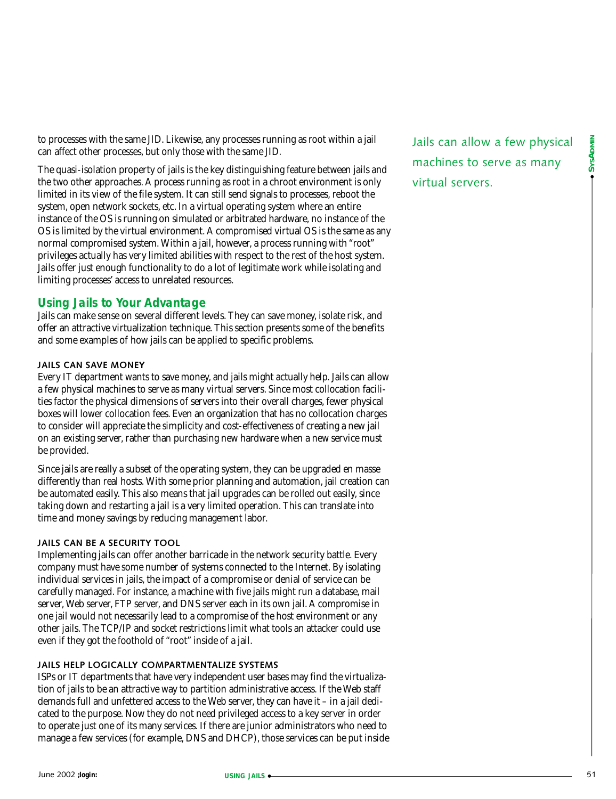to processes with the same JID. Likewise, any processes running as root within a jail can affect other processes, but only those with the same JID.

The quasi-isolation property of jails is the key distinguishing feature between jails and the two other approaches. A process running as root in a chroot environment is only limited in its view of the file system. It can still send signals to processes, reboot the system, open network sockets, etc. In a virtual operating system where an entire instance of the OS is running on simulated or arbitrated hardware, no instance of the OS is limited by the virtual environment. A compromised virtual OS is the same as any normal compromised system. Within a jail, however, a process running with "root" privileges actually has very limited abilities with respect to the rest of the host system. Jails offer just enough functionality to do a lot of legitimate work while isolating and limiting processes' access to unrelated resources.

# **Using Jails to Your Advantage**

Jails can make sense on several different levels. They can save money, isolate risk, and offer an attractive virtualization technique. This section presents some of the benefits and some examples of how jails can be applied to specific problems.

#### **JAILS CAN SAVE MONEY**

Every IT department wants to save money, and jails might actually help. Jails can allow a few physical machines to serve as many virtual servers. Since most collocation facilities factor the physical dimensions of servers into their overall charges, fewer physical boxes will lower collocation fees. Even an organization that has no collocation charges to consider will appreciate the simplicity and cost-effectiveness of creating a new jail on an existing server, rather than purchasing new hardware when a new service must be provided.

Since jails are really a subset of the operating system, they can be upgraded en masse differently than real hosts. With some prior planning and automation, jail creation can be automated easily. This also means that jail upgrades can be rolled out easily, since taking down and restarting a jail is a very limited operation. This can translate into time and money savings by reducing management labor.

# **JAILS CAN BE A SECURITY TOOL**

Implementing jails can offer another barricade in the network security battle. Every company must have some number of systems connected to the Internet. By isolating individual services in jails, the impact of a compromise or denial of service can be carefully managed. For instance, a machine with five jails might run a database, mail server, Web server, FTP server, and DNS server each in its own jail. A compromise in one jail would not necessarily lead to a compromise of the host environment or any other jails. The TCP/IP and socket restrictions limit what tools an attacker could use even if they got the foothold of "root" inside of a jail.

#### **JAILS HELP LOGICALLY COMPARTMENTALIZE SYSTEMS**

ISPs or IT departments that have very independent user bases may find the virtualization of jails to be an attractive way to partition administrative access. If the Web staff demands full and unfettered access to the Web server, they can have it – in a jail dedicated to the purpose. Now they do not need privileged access to a key server in order to operate just one of its many services. If there are junior administrators who need to manage a few services (for example, DNS and DHCP), those services can be put inside Jails can allow a few physical machines to serve as many virtual servers.

● **SYSADMIN**

SysADMIN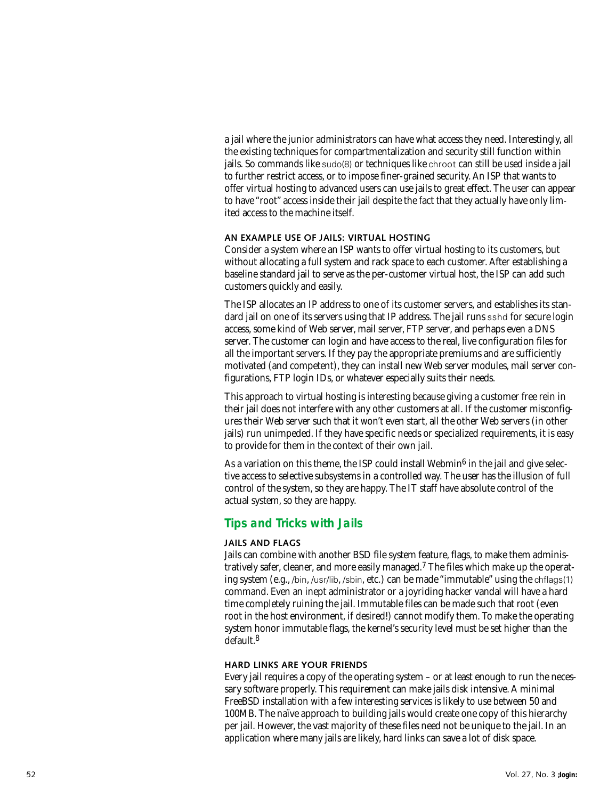a jail where the junior administrators can have what access they need. Interestingly, all the existing techniques for compartmentalization and security still function within jails. So commands like sudo(8) or techniques like chroot can still be used inside a jail to further restrict access, or to impose finer-grained security. An ISP that wants to offer virtual hosting to advanced users can use jails to great effect. The user can appear to have "root" access inside their jail despite the fact that they actually have only limited access to the machine itself.

#### **AN EXAMPLE USE OF JAILS: VIRTUAL HOSTING**

Consider a system where an ISP wants to offer virtual hosting to its customers, but without allocating a full system and rack space to each customer. After establishing a baseline standard jail to serve as the per-customer virtual host, the ISP can add such customers quickly and easily.

The ISP allocates an IP address to one of its customer servers, and establishes its standard jail on one of its servers using that IP address. The jail runs sshd for secure login access, some kind of Web server, mail server, FTP server, and perhaps even a DNS server. The customer can login and have access to the real, live configuration files for all the important servers. If they pay the appropriate premiums and are sufficiently motivated (and competent), they can install new Web server modules, mail server configurations, FTP login IDs, or whatever especially suits their needs.

This approach to virtual hosting is interesting because giving a customer free rein in their jail does not interfere with any other customers at all. If the customer misconfigures their Web server such that it won't even start, all the other Web servers (in other jails) run unimpeded. If they have specific needs or specialized requirements, it is easy to provide for them in the context of their own jail.

As a variation on this theme, the ISP could install Webmin<sup>6</sup> in the jail and give selective access to selective subsystems in a controlled way. The user has the illusion of full control of the system, so they are happy. The IT staff have absolute control of the actual system, so they are happy.

# **Tips and Tricks with Jails**

#### **JAILS AND FLAGS**

Jails can combine with another BSD file system feature, flags, to make them administratively safer, cleaner, and more easily managed.7 The files which make up the operating system (e.g., /bin, /usr/lib, /sbin, etc.) can be made "immutable" using the chflags(1) command. Even an inept administrator or a joyriding hacker vandal will have a hard time completely ruining the jail. Immutable files can be made such that root (even root in the host environment, if desired!) cannot modify them. To make the operating system honor immutable flags, the kernel's security level must be set higher than the default. 8

#### **HARD LINKS ARE YOUR FRIENDS**

Every jail requires a copy of the operating system – or at least enough to run the necessary software properly. This requirement can make jails disk intensive. A minimal FreeBSD installation with a few interesting services is likely to use between 50 and 100MB. The naïve approach to building jails would create one copy of this hierarchy per jail. However, the vast majority of these files need not be unique to the jail. In an application where many jails are likely, hard links can save a lot of disk space.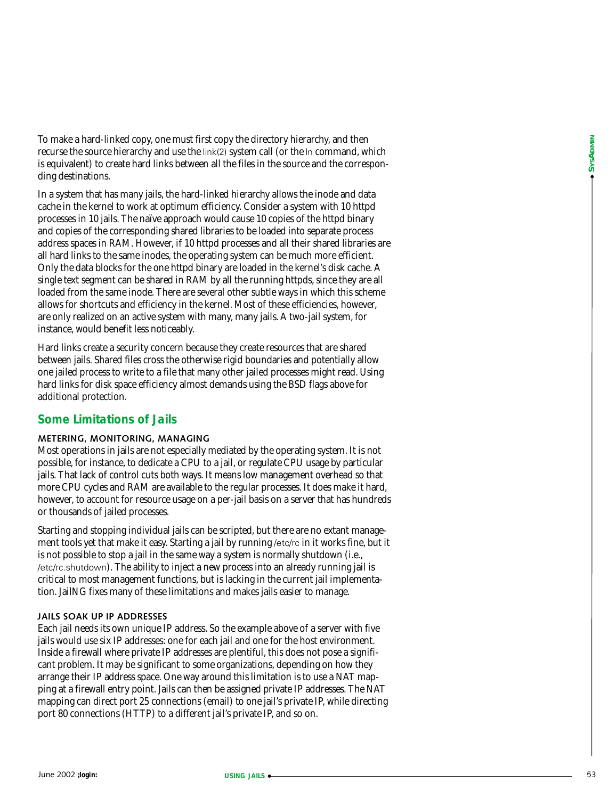To make a hard-linked copy, one must first copy the directory hierarchy, and then recurse the source hierarchy and use the link(2) system call (or the ln command, which is equivalent) to create hard links between all the files in the source and the corresponding destinations.

In a system that has many jails, the hard-linked hierarchy allows the inode and data cache in the kernel to work at optimum efficiency. Consider a system with 10 httpd processes in 10 jails. The naïve approach would cause 10 copies of the httpd binary and copies of the corresponding shared libraries to be loaded into separate process address spaces in RAM. However, if 10 httpd processes and all their shared libraries are all hard links to the same inodes, the operating system can be much more efficient. Only the data blocks for the one httpd binary are loaded in the kernel's disk cache. A single text segment can be shared in RAM by all the running httpds, since they are all loaded from the same inode. There are several other subtle ways in which this scheme allows for shortcuts and efficiency in the kernel. Most of these efficiencies, however, are only realized on an active system with many, many jails. A two-jail system, for instance, would benefit less noticeably. **ID** makes a state-final of express must have considered by the methods and the methods and the methods are considered by the methods are considered by the methods are considered by the methods are considered by the metho

Hard links create a security concern because they create resources that are shared between jails. Shared files cross the otherwise rigid boundaries and potentially allow one jailed process to write to a file that many other jailed processes might read. Using hard links for disk space efficiency almost demands using the BSD flags above for additional protection.

# **Some Limitations of Jails**

#### **METERING, MONITORING, MANAGING**

Most operations in jails are not especially mediated by the operating system. It is not possible, for instance, to dedicate a CPU to a jail, or regulate CPU usage by particular jails. That lack of control cuts both ways. It means low management overhead so that more CPU cycles and RAM are available to the regular processes. It does make it hard, however, to account for resource usage on a per-jail basis on a server that has hundreds or thousands of jailed processes.

Starting and stopping individual jails can be scripted, but there are no extant management tools yet that make it easy. Starting a jail by running /etc/rc in it works fine, but it is not possible to stop a jail in the same way a system is normally shutdown (i.e., /etc/rc.shutdown). The ability to inject a new process into an already running jail is critical to most management functions, but is lacking in the current jail implementation. JailNG fixes many of these limitations and makes jails easier to manage.

#### **JAILS SOAK UP IP ADDRESSES**

Each jail needs its own unique IP address. So the example above of a server with five jails would use six IP addresses: one for each jail and one for the host environment. Inside a firewall where private IP addresses are plentiful, this does not pose a significant problem. It may be significant to some organizations, depending on how they arrange their IP address space. One way around this limitation is to use a NAT mapping at a firewall entry point. Jails can then be assigned private IP addresses. The NAT mapping can direct port 25 connections (email) to one jail's private IP, while directing port 80 connections (HTTP) to a different jail's private IP, and so on.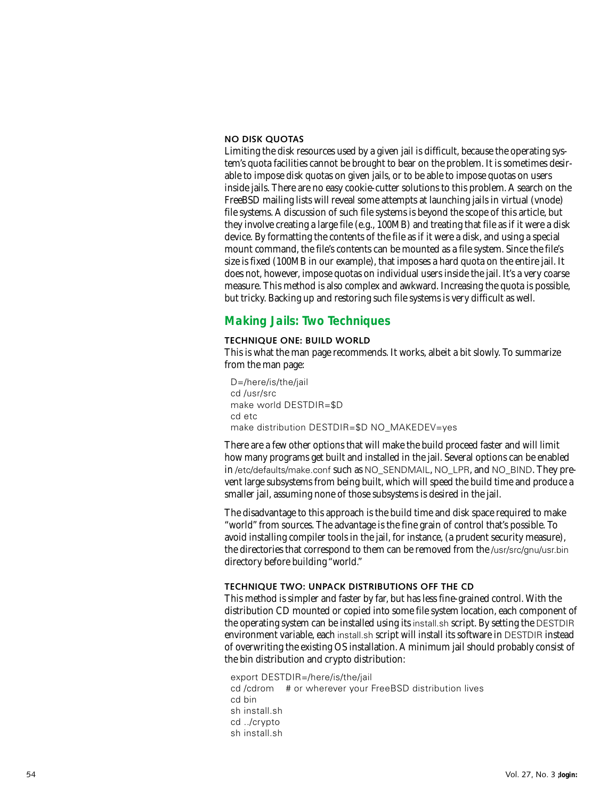#### **NO DISK QUOTAS**

Limiting the disk resources used by a given jail is difficult, because the operating system's quota facilities cannot be brought to bear on the problem. It is sometimes desirable to impose disk quotas on given jails, or to be able to impose quotas on users inside jails. There are no easy cookie-cutter solutions to this problem. A search on the FreeBSD mailing lists will reveal some attempts at launching jails in virtual (vnode) file systems. A discussion of such file systems is beyond the scope of this article, but they involve creating a large file (e.g., 100MB) and treating that file as if it were a disk device. By formatting the contents of the file as if it were a disk, and using a special mount command, the file's contents can be mounted as a file system. Since the file's size is fixed (100MB in our example), that imposes a hard quota on the entire jail. It does not, however, impose quotas on individual users inside the jail. It's a very coarse measure. This method is also complex and awkward. Increasing the quota is possible, but tricky. Backing up and restoring such file systems is very difficult as well.

# **Making Jails: Two Techniques**

#### **TECHNIQUE ONE: BUILD WORLD**

This is what the man page recommends. It works, albeit a bit slowly. To summarize from the man page:

D=/here/is/the/jail cd /usr/src make world DESTDIR=\$D cd etc make distribution DESTDIR=\$D NO\_MAKEDEV=yes

There are a few other options that will make the build proceed faster and will limit how many programs get built and installed in the jail. Several options can be enabled in /etc/defaults/make.conf such as NO\_SENDMAIL , NO\_LPR, and NO\_BIND. They prevent large subsystems from being built, which will speed the build time and produce a smaller jail, assuming none of those subsystems is desired in the jail.

The disadvantage to this approach is the build time and disk space required to make "world" from sources. The advantage is the fine grain of control that's possible. To avoid installing compiler tools in the jail, for instance, (a prudent security measure), the directories that correspond to them can be removed from the /usr/src/gnu/usr.bin directory before building "world."

#### **TECHNIQUE TWO: UNPACK DISTRIBUTIONS OFF THE CD**

This method is simpler and faster by far, but has less fine-grained control. With the distribution CD mounted or copied into some file system location, each component of the operating system can be installed using its install.sh script. By setting the DESTDIR environment variable, each install.sh script will install its software in DESTDIR instead of overwriting the existing OS installation. A minimum jail should probably consist of the bin distribution and crypto distribution:

export DESTDIR=/here/is/the/jail cd /cdrom # or wherever your FreeBSD distribution lives cd bin sh install.sh cd ../crypto sh install.sh